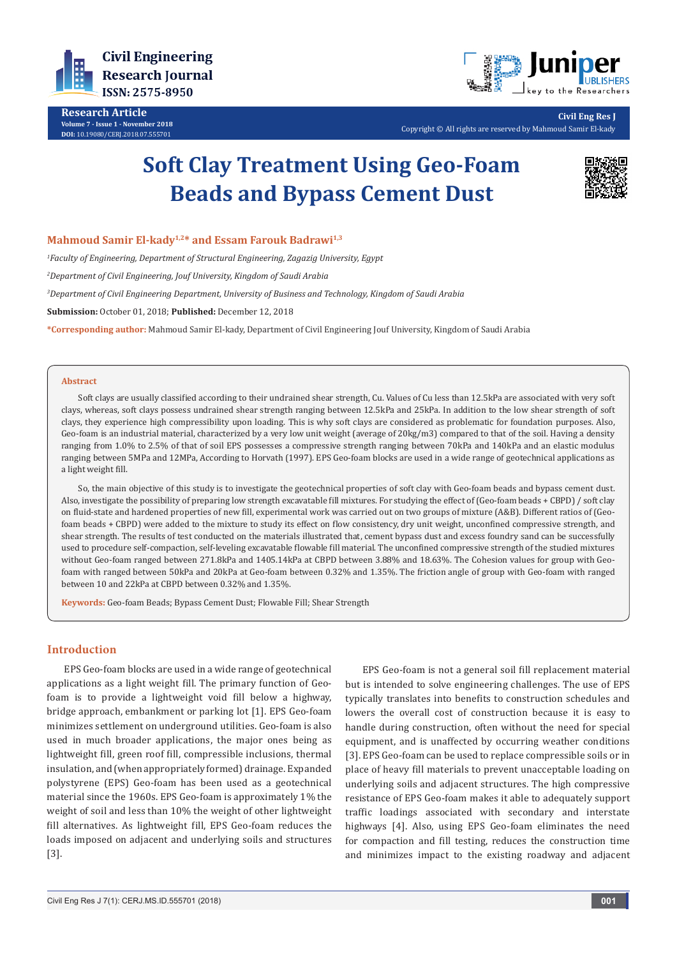

**Research Article Volume 7 - Issue 1 - November 2018 DOI:** [10.19080/CERJ.2018.07.555701](http://dx.doi.org/10.19080/CERJ.2018.07.555701)



**Civil Eng Res J** Copyright © All rights are reserved by Mahmoud Samir El-kady

# **Soft Clay Treatment Using Geo-Foam Beads and Bypass Cement Dust**



# Mahmoud Samir El-kady<sup>1,2\*</sup> and Essam Farouk Badrawi<sup>1,3</sup>

*1 Faculty of Engineering, Department of Structural Engineering, Zagazig University, Egypt*

*2 Department of Civil Engineering, Jouf University, Kingdom of Saudi Arabia*

*3 Department of Civil Engineering Department, University of Business and Technology, Kingdom of Saudi Arabia*

**Submission:** October 01, 2018; **Published:** December 12, 2018

**\*Corresponding author:** Mahmoud Samir El-kady, Department of Civil Engineering Jouf University, Kingdom of Saudi Arabia

#### **Abstract**

Soft clays are usually classified according to their undrained shear strength, Cu. Values of Cu less than 12.5kPa are associated with very soft clays, whereas, soft clays possess undrained shear strength ranging between 12.5kPa and 25kPa. In addition to the low shear strength of soft clays, they experience high compressibility upon loading. This is why soft clays are considered as problematic for foundation purposes. Also, Geo-foam is an industrial material, characterized by a very low unit weight (average of 20kg/m3) compared to that of the soil. Having a density ranging from 1.0% to 2.5% of that of soil EPS possesses a compressive strength ranging between 70kPa and 140kPa and an elastic modulus ranging between 5MPa and 12MPa, According to Horvath (1997). EPS Geo-foam blocks are used in a wide range of geotechnical applications as a light weight fill.

So, the main objective of this study is to investigate the geotechnical properties of soft clay with Geo-foam beads and bypass cement dust. Also, investigate the possibility of preparing low strength excavatable fill mixtures. For studying the effect of (Geo-foam beads + CBPD) / soft clay on fluid-state and hardened properties of new fill, experimental work was carried out on two groups of mixture (A&B). Different ratios of (Geofoam beads + CBPD) were added to the mixture to study its effect on flow consistency, dry unit weight, unconfined compressive strength, and shear strength. The results of test conducted on the materials illustrated that, cement bypass dust and excess foundry sand can be successfully used to procedure self-compaction, self-leveling excavatable flowable fill material. The unconfined compressive strength of the studied mixtures without Geo-foam ranged between 271.8kPa and 1405.14kPa at CBPD between 3.88% and 18.63%. The Cohesion values for group with Geofoam with ranged between 50kPa and 20kPa at Geo-foam between 0.32% and 1.35%. The friction angle of group with Geo-foam with ranged between 10 and 22kPa at CBPD between 0.32% and 1.35%.

**Keywords:** Geo-foam Beads; Bypass Cement Dust; Flowable Fill; Shear Strength

## **Introduction**

EPS Geo-foam blocks are used in a wide range of geotechnical applications as a light weight fill. The primary function of Geofoam is to provide a lightweight void fill below a highway, bridge approach, embankment or parking lot [1]. EPS Geo-foam minimizes settlement on underground utilities. Geo-foam is also used in much broader applications, the major ones being as lightweight fill, green roof fill, compressible inclusions, thermal insulation, and (when appropriately formed) drainage. Expanded polystyrene (EPS) Geo-foam has been used as a geotechnical material since the 1960s. EPS Geo-foam is approximately 1% the weight of soil and less than 10% the weight of other lightweight fill alternatives. As lightweight fill, EPS Geo-foam reduces the loads imposed on adjacent and underlying soils and structures [3].

EPS Geo-foam is not a general soil fill replacement material but is intended to solve engineering challenges. The use of EPS typically translates into benefits to construction schedules and lowers the overall cost of construction because it is easy to handle during construction, often without the need for special equipment, and is unaffected by occurring weather conditions [3]. EPS Geo-foam can be used to replace compressible soils or in place of heavy fill materials to prevent unacceptable loading on underlying soils and adjacent structures. The high compressive resistance of EPS Geo-foam makes it able to adequately support traffic loadings associated with secondary and interstate highways [4]. Also, using EPS Geo-foam eliminates the need for compaction and fill testing, reduces the construction time and minimizes impact to the existing roadway and adjacent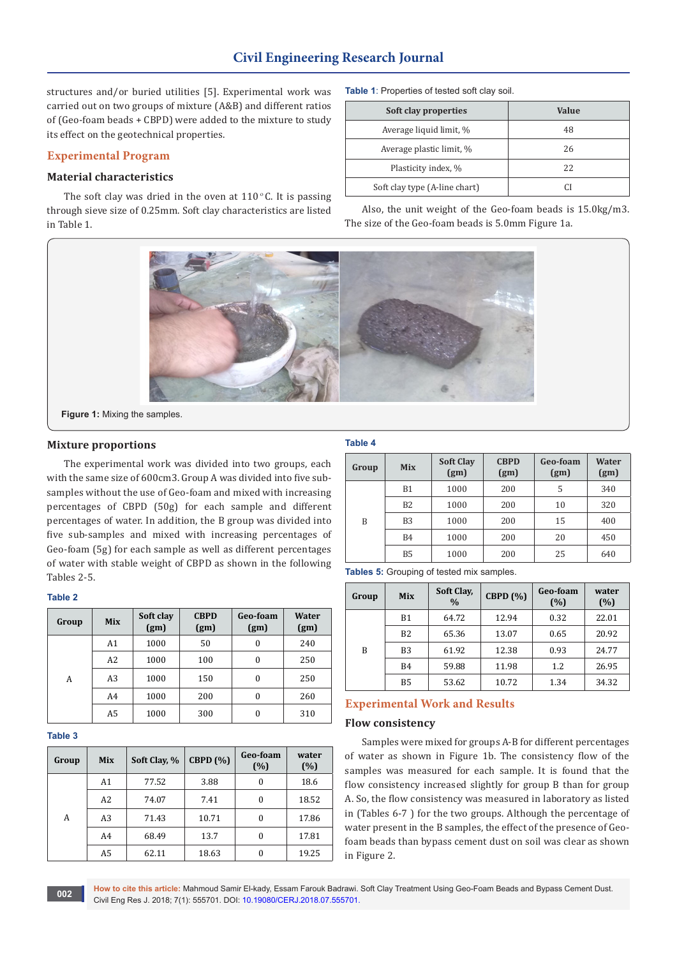# **Civil Engineering Research Journal**

structures and/or buried utilities [5]. Experimental work was carried out on two groups of mixture (A&B) and different ratios of (Geo-foam beads + CBPD) were added to the mixture to study its effect on the geotechnical properties.

# **Experimental Program**

## **Material characteristics**

The soft clay was dried in the oven at  $110^{\circ}$ C. It is passing through sieve size of 0.25mm. Soft clay characteristics are listed in Table 1.

**Table 1**: Properties of tested soft clay soil.

| Soft clay properties          | Value |
|-------------------------------|-------|
| Average liquid limit, %       | 48    |
| Average plastic limit, %      | 26    |
| Plasticity index, %           | 22    |
| Soft clay type (A-line chart) |       |

Also, the unit weight of the Geo-foam beads is 15.0kg/m3. The size of the Geo-foam beads is 5.0mm Figure 1a.



**Figure 1:** Mixing the samples.

# **Mixture proportions**

The experimental work was divided into two groups, each with the same size of 600cm3. Group A was divided into five subsamples without the use of Geo-foam and mixed with increasing percentages of CBPD (50g) for each sample and different percentages of water. In addition, the B group was divided into five sub-samples and mixed with increasing percentages of Geo-foam (5g) for each sample as well as different percentages of water with stable weight of CBPD as shown in the following Tables 2-5.

| . .<br>×<br>۰,<br>I |
|---------------------|
|---------------------|

| Group | <b>Mix</b>     | Soft clay<br>(gm) | <b>CBPD</b><br>(gm) | Geo-foam<br>(gm) | <b>Water</b><br>(gm) |
|-------|----------------|-------------------|---------------------|------------------|----------------------|
|       | A1             | 1000              | 50                  | 0                | 240                  |
|       | A <sub>2</sub> | 1000              | 100                 | $\Omega$         | 250                  |
| A     | A3             | 1000              | 150                 | $\Omega$         | 250                  |
|       | A4             | 1000              | 200                 | $\Omega$         | 260                  |
|       | A5             | 1000              | 300                 |                  | 310                  |

**Table 3**

| Group | <b>Mix</b>     | Soft Clay, % | CBPD(%) | Geo-foam<br>(%) | water<br>(%) |
|-------|----------------|--------------|---------|-----------------|--------------|
|       | A1             | 77.52        | 3.88    | $\bf{0}$        | 18.6         |
|       | A2             | 74.07        | 7.41    | $\theta$        | 18.52        |
| A     | A3             | 71.43        | 10.71   | $\theta$        | 17.86        |
|       | A4             | 68.49        | 13.7    | 0               | 17.81        |
|       | A <sub>5</sub> | 62.11        | 18.63   | $\theta$        | 19.25        |

## **Table 4**

| Group | <b>Mix</b>     | <b>Soft Clay</b><br>(gm) | <b>CBPD</b><br>(gm) | Geo-foam<br>(gm) | Water<br>(gm) |
|-------|----------------|--------------------------|---------------------|------------------|---------------|
|       | B1             | 1000                     | 200                 | 5                | 340           |
|       | B <sub>2</sub> | 1000                     | 200                 | 10               | 320           |
| B     | B <sub>3</sub> | 1000                     | 200                 | 15               | 400           |
|       | <b>B4</b>      | 1000                     | 200                 | 20               | 450           |
|       | B <sub>5</sub> | 1000                     | 200                 | 25               | 640           |

**Tables 5:** Grouping of tested mix samples.

| Group | <b>Mix</b> | Soft Clay,<br>$\frac{0}{0}$ | <b>CBPD</b> (%) | Geo-foam<br>(%) | water<br>(%) |
|-------|------------|-----------------------------|-----------------|-----------------|--------------|
|       | <b>B1</b>  | 64.72                       | 12.94           | 0.32            | 22.01        |
|       | B2         | 65.36                       | 13.07           | 0.65            | 20.92        |
| B     | B3         | 61.92                       | 12.38           | 0.93            | 24.77        |
|       | <b>B4</b>  | 59.88                       | 11.98           | 1.2             | 26.95        |
|       | B5         | 53.62                       | 10.72           | 1.34            | 34.32        |

# **Experimental Work and Results**

#### **Flow consistency**

Samples were mixed for groups A-B for different percentages of water as shown in Figure 1b. The consistency flow of the samples was measured for each sample. It is found that the flow consistency increased slightly for group B than for group A. So, the flow consistency was measured in laboratory as listed in (Tables 6-7 ) for the two groups. Although the percentage of water present in the B samples, the effect of the presence of Geofoam beads than bypass cement dust on soil was clear as shown in Figure 2.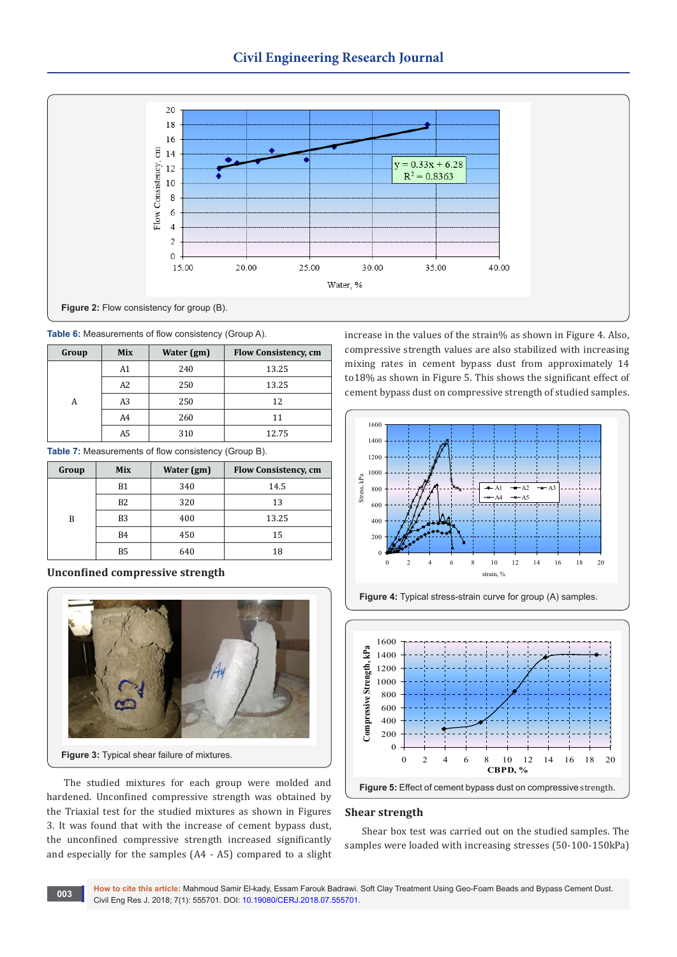

|  | Table 6: Measurements of flow consistency (Group A). |  |  |  |
|--|------------------------------------------------------|--|--|--|
|--|------------------------------------------------------|--|--|--|

| Group | <b>Mix</b>     | Water (gm) | <b>Flow Consistency, cm</b> |
|-------|----------------|------------|-----------------------------|
|       | A1             | 240        | 13.25                       |
|       | A2             | 250        | 13.25                       |
|       | A3             | 250        | 12                          |
|       | A <sub>4</sub> | 260        | 11                          |
|       | A5             | 310        | 12.75                       |

**Table 7:** Measurements of flow consistency (Group B).

| Group | <b>Mix</b>     | Water (gm) | <b>Flow Consistency, cm</b> |
|-------|----------------|------------|-----------------------------|
|       | <b>B1</b>      | 340        | 14.5                        |
|       | <b>B2</b>      | 320        | 13                          |
| B     | B <sub>3</sub> | 400        | 13.25                       |
|       | <b>B4</b>      | 450        | 15                          |
|       | B5             | 640        | 18                          |

**Unconfined compressive strength**



The studied mixtures for each group were molded and hardened. Unconfined compressive strength was obtained by the Triaxial test for the studied mixtures as shown in Figures 3. It was found that with the increase of cement bypass dust, the unconfined compressive strength increased significantly and especially for the samples (A4 - A5) compared to a slight increase in the values of the strain% as shown in Figure 4. Also, compressive strength values are also stabilized with increasing mixing rates in cement bypass dust from approximately 14 to18% as shown in Figure 5. This shows the significant effect of cement bypass dust on compressive strength of studied samples.







#### **Shear strength**

Shear box test was carried out on the studied samples. The samples were loaded with increasing stresses (50-100-150kPa)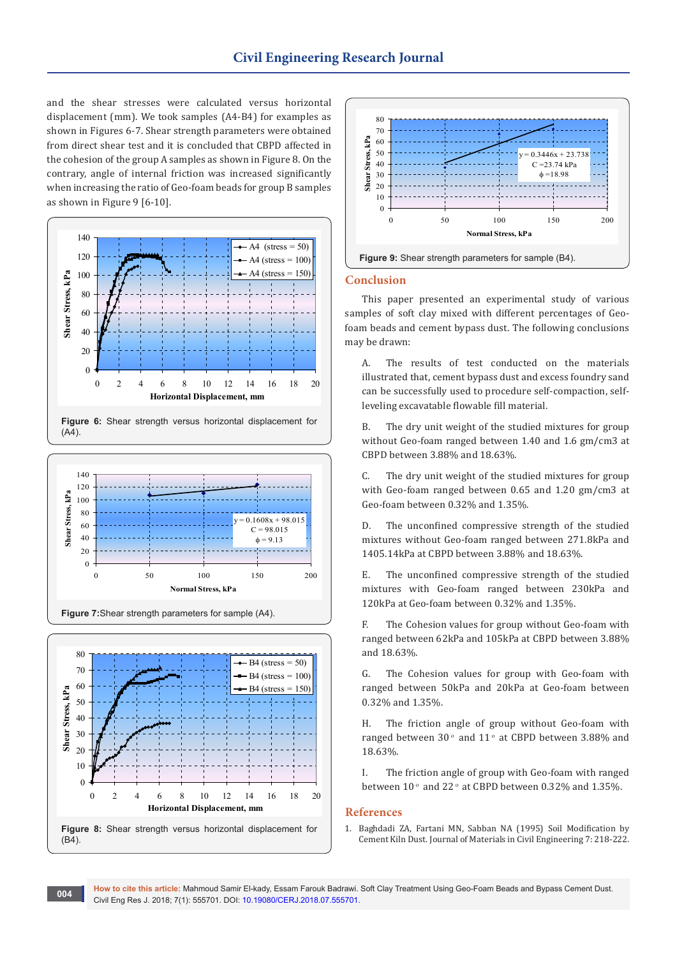and the shear stresses were calculated versus horizontal displacement (mm). We took samples (A4-B4) for examples as shown in Figures 6-7. Shear strength parameters were obtained from direct shear test and it is concluded that CBPD affected in the cohesion of the group A samples as shown in Figure 8. On the contrary, angle of internal friction was increased significantly when increasing the ratio of Geo-foam beads for group B samples as shown in Figure 9 [6-10].



**Figure 6:** Shear strength versus horizontal displacement for  $(A4)$ 



**Figure 7:**Shear strength parameters for sample (A4).





#### **Conclusion**

This paper presented an experimental study of various samples of soft clay mixed with different percentages of Geofoam beads and cement bypass dust. The following conclusions may be drawn:

A. The results of test conducted on the materials illustrated that, cement bypass dust and excess foundry sand can be successfully used to procedure self-compaction, selfleveling excavatable flowable fill material.

B. The dry unit weight of the studied mixtures for group without Geo-foam ranged between 1.40 and 1.6 gm/cm3 at CBPD between 3.88% and 18.63%.

C. The dry unit weight of the studied mixtures for group with Geo-foam ranged between 0.65 and 1.20 gm/cm3 at Geo-foam between 0.32% and 1.35%.

D. The unconfined compressive strength of the studied mixtures without Geo-foam ranged between 271.8kPa and 1405.14kPa at CBPD between 3.88% and 18.63%.

E. The unconfined compressive strength of the studied mixtures with Geo-foam ranged between 230kPa and 120kPa at Geo-foam between 0.32% and 1.35%.

F. The Cohesion values for group without Geo-foam with ranged between 62kPa and 105kPa at CBPD between 3.88% and 18.63%.

G. The Cohesion values for group with Geo-foam with ranged between 50kPa and 20kPa at Geo-foam between 0.32% and 1.35%.

H. The friction angle of group without Geo-foam with ranged between 30 $^{\circ}$  and 11 $^{\circ}$  at CBPD between 3.88% and 18.63%.

I. The friction angle of group with Geo-foam with ranged between  $10^{\circ}$  and  $22^{\circ}$  at CBPD between 0.32% and 1.35%.

#### **References**

1. [Baghdadi ZA, Fartani MN, Sabban NA \(1995\) Soil Modification by](https://ascelibrary.org/doi/10.1061/%28ASCE%290899-1561%281995%297%3A4%28218%29)  [Cement Kiln Dust. Journal of Materials in Civil Engineering 7: 218-222.](https://ascelibrary.org/doi/10.1061/%28ASCE%290899-1561%281995%297%3A4%28218%29)